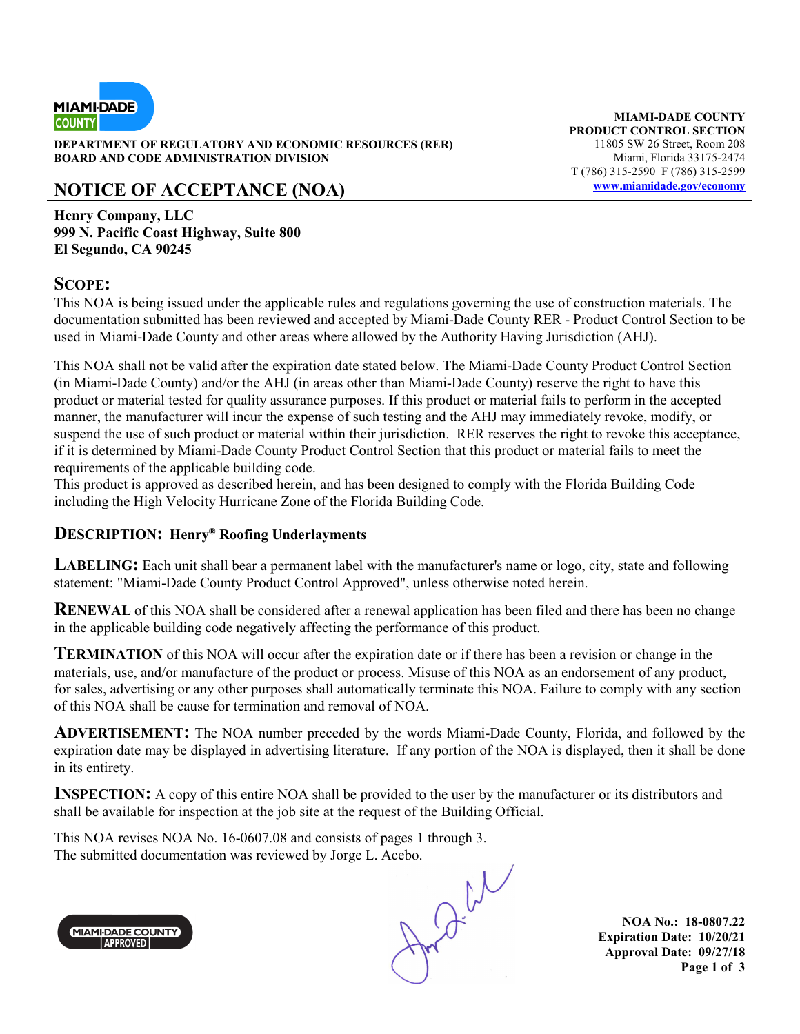

**DEPARTMENT OF REGULATORY AND ECONOMIC RESOURCES (RER)** 11805 SW 26 Street, Room 208 **BOARD AND CODE ADMINISTRATION DIVISION Miami, Florida 33175-2474** 

## **NOTICE OF ACCEPTANCE (NOA) www.miamidade.gov/economy**

**Henry Company, LLC 999 N. Pacific Coast Highway, Suite 800 El Segundo, CA 90245**

#### **SCOPE:**

This NOA is being issued under the applicable rules and regulations governing the use of construction materials. The documentation submitted has been reviewed and accepted by Miami-Dade County RER - Product Control Section to be used in Miami-Dade County and other areas where allowed by the Authority Having Jurisdiction (AHJ).

This NOA shall not be valid after the expiration date stated below. The Miami-Dade County Product Control Section (in Miami-Dade County) and/or the AHJ (in areas other than Miami-Dade County) reserve the right to have this product or material tested for quality assurance purposes. If this product or material fails to perform in the accepted manner, the manufacturer will incur the expense of such testing and the AHJ may immediately revoke, modify, or suspend the use of such product or material within their jurisdiction. RER reserves the right to revoke this acceptance, if it is determined by Miami-Dade County Product Control Section that this product or material fails to meet the requirements of the applicable building code.

This product is approved as described herein, and has been designed to comply with the Florida Building Code including the High Velocity Hurricane Zone of the Florida Building Code.

#### **DESCRIPTION: Henry® Roofing Underlayments**

**LABELING:** Each unit shall bear a permanent label with the manufacturer's name or logo, city, state and following statement: "Miami-Dade County Product Control Approved", unless otherwise noted herein.

**RENEWAL** of this NOA shall be considered after a renewal application has been filed and there has been no change in the applicable building code negatively affecting the performance of this product.

**TERMINATION** of this NOA will occur after the expiration date or if there has been a revision or change in the materials, use, and/or manufacture of the product or process. Misuse of this NOA as an endorsement of any product, for sales, advertising or any other purposes shall automatically terminate this NOA. Failure to comply with any section of this NOA shall be cause for termination and removal of NOA.

**ADVERTISEMENT:** The NOA number preceded by the words Miami-Dade County, Florida, and followed by the expiration date may be displayed in advertising literature. If any portion of the NOA is displayed, then it shall be done in its entirety.

**INSPECTION:** A copy of this entire NOA shall be provided to the user by the manufacturer or its distributors and shall be available for inspection at the job site at the request of the Building Official.

This NOA revises NOA No. 16-0607.08 and consists of pages 1 through 3.



The submitted documentation was reviewed by Jorge L. Acebo.<br>
MIAMI-DADE COUNTY<br>
APPROVED

**NOA No.: 18-0807.22 Expiration Date: 10/20/21 Approval Date: 09/27/18 Page 1 of 3** 

**MIAMI-DADE COUNTY PRODUCT CONTROL SECTION**  T (786) 315-2590 F (786) 315-2599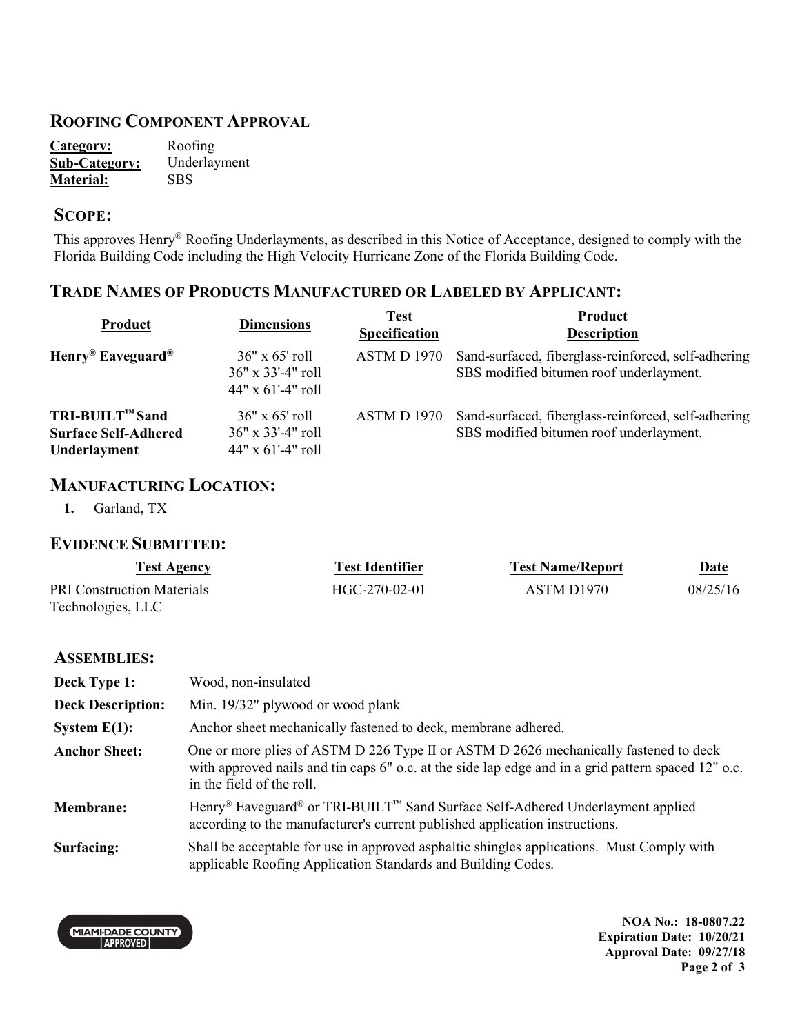#### **ROOFING COMPONENT APPROVAL**

| Category:            | Roofing      |
|----------------------|--------------|
| <b>Sub-Category:</b> | Underlayment |
| <b>Material:</b>     | <b>SBS</b>   |

#### **SCOPE:**

This approves Henry® Roofing Underlayments, as described in this Notice of Acceptance, designed to comply with the Florida Building Code including the High Velocity Hurricane Zone of the Florida Building Code.

## **TRADE NAMES OF PRODUCTS MANUFACTURED OR LABELED BY APPLICANT:**

| Product                                                        | <b>Dimensions</b>                                                       | <b>Test</b><br>Specification | Product<br><b>Description</b>                                                                  |
|----------------------------------------------------------------|-------------------------------------------------------------------------|------------------------------|------------------------------------------------------------------------------------------------|
| $Henry^{\circledR}$ Eaveguard <sup>®</sup>                     | $36" \times 65'$ roll<br>36" x 33'-4" roll<br>$44" \times 61'$ -4" roll | ASTM D 1970                  | Sand-surfaced, fiberglass-reinforced, self-adhering<br>SBS modified bitumen roof underlayment. |
| TRI-BUILT™ Sand<br><b>Surface Self-Adhered</b><br>Underlayment | $36" \times 65'$ roll<br>36" x 33'-4" roll<br>$44"$ x 61'-4" roll       | <b>ASTM D 1970</b>           | Sand-surfaced, fiberglass-reinforced, self-adhering<br>SBS modified bitumen roof underlayment. |

#### **MANUFACTURING LOCATION:**

**1.** Garland, TX

#### **EVIDENCE SUBMITTED:**

| Test Agency                | <b>Test Identifier</b> | <b>Test Name/Report</b> | <u>Date</u> |
|----------------------------|------------------------|-------------------------|-------------|
| PRI Construction Materials | HGC-270-02-01          | ASTM D <sub>1970</sub>  | 08/25/16    |
| Technologies, LLC          |                        |                         |             |

#### **ASSEMBLIES:**

| Deck Type 1:             | Wood, non-insulated                                                                                                                                                                                                      |
|--------------------------|--------------------------------------------------------------------------------------------------------------------------------------------------------------------------------------------------------------------------|
| <b>Deck Description:</b> | Min. 19/32" plywood or wood plank                                                                                                                                                                                        |
| System $E(1)$ :          | Anchor sheet mechanically fastened to deck, membrane adhered.                                                                                                                                                            |
| <b>Anchor Sheet:</b>     | One or more plies of ASTM D 226 Type II or ASTM D 2626 mechanically fastened to deck<br>with approved nails and tin caps 6" o.c. at the side lap edge and in a grid pattern spaced 12" o.c.<br>in the field of the roll. |
| <b>Membrane:</b>         | Henry <sup>®</sup> Eaveguard <sup>®</sup> or TRI-BUILT™ Sand Surface Self-Adhered Underlayment applied<br>according to the manufacturer's current published application instructions.                                    |
| Surfacing:               | Shall be acceptable for use in approved asphaltic shingles applications. Must Comply with<br>applicable Roofing Application Standards and Building Codes.                                                                |

**CHAMPADE COUNTY** 

**NOA No.: 18-0807.22 Expiration Date: 10/20/21 Approval Date: 09/27/18 Page 2 of 3**